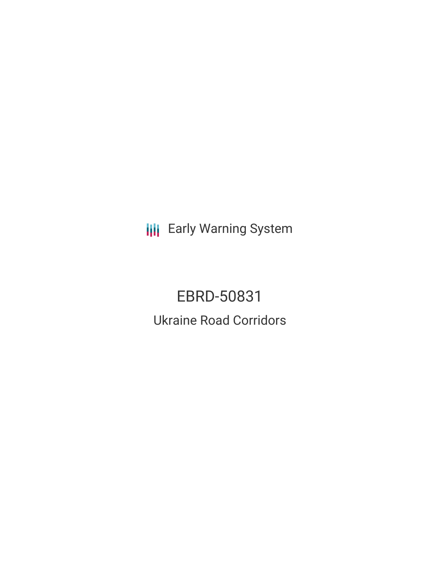**III** Early Warning System

EBRD-50831 Ukraine Road Corridors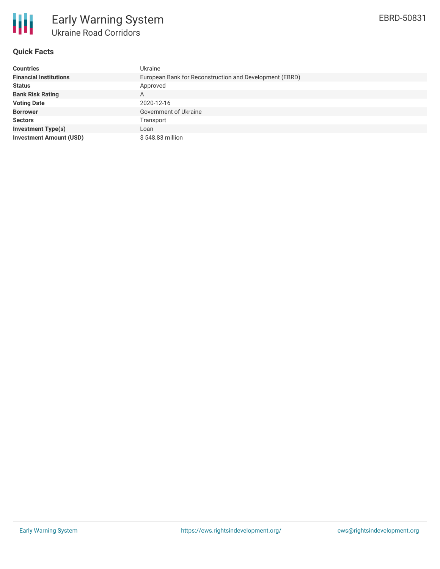

# **Quick Facts**

| <b>Countries</b>               | Ukraine                                                 |
|--------------------------------|---------------------------------------------------------|
| <b>Financial Institutions</b>  | European Bank for Reconstruction and Development (EBRD) |
| <b>Status</b>                  | Approved                                                |
| <b>Bank Risk Rating</b>        | A                                                       |
| <b>Voting Date</b>             | 2020-12-16                                              |
| <b>Borrower</b>                | Government of Ukraine                                   |
| <b>Sectors</b>                 | Transport                                               |
| <b>Investment Type(s)</b>      | Loan                                                    |
| <b>Investment Amount (USD)</b> | \$548.83 million                                        |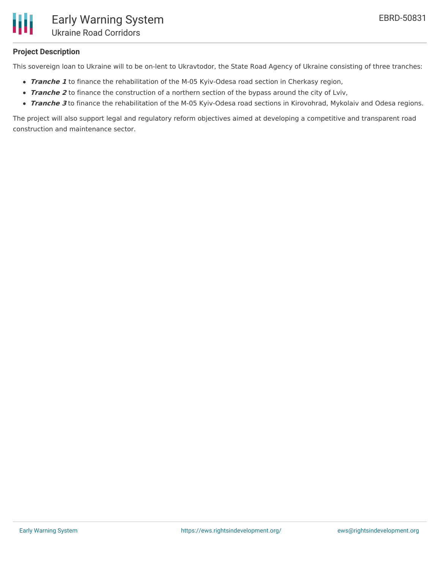

# **Project Description**

This sovereign loan to Ukraine will to be on-lent to Ukravtodor, the State Road Agency of Ukraine consisting of three tranches:

- **Tranche 1** to finance the rehabilitation of the M-05 Kyiv-Odesa road section in Cherkasy region,
- **Tranche** 2 to finance the construction of a northern section of the bypass around the city of Lviv,
- **Tranche 3** to finance the rehabilitation of the M-05 Kyiv-Odesa road sections in Kirovohrad, Mykolaiv and Odesa regions.

The project will also support legal and regulatory reform objectives aimed at developing a competitive and transparent road construction and maintenance sector.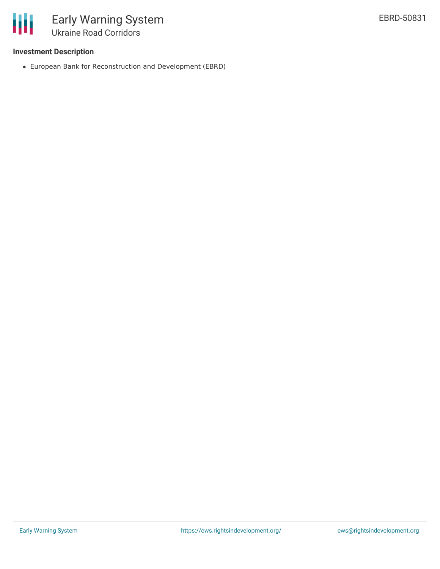

# **Investment Description**

European Bank for Reconstruction and Development (EBRD)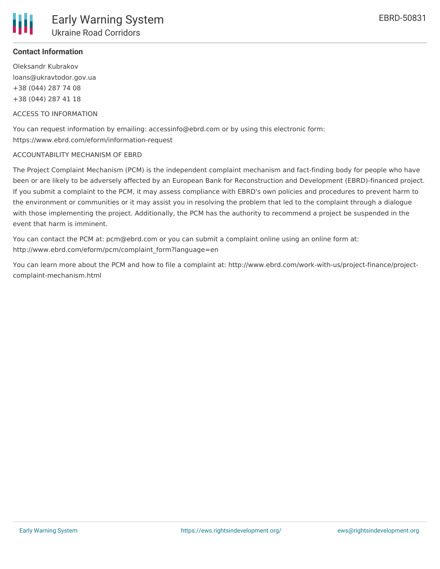

# **Contact Information**

Oleksandr Kubrakov loans@ukravtodor.gov.ua +38 (044) 287 74 08 +38 (044) 287 41 18

#### ACCESS TO INFORMATION

You can request information by emailing: accessinfo@ebrd.com or by using this electronic form: https://www.ebrd.com/eform/information-request

### ACCOUNTABILITY MECHANISM OF EBRD

The Project Complaint Mechanism (PCM) is the independent complaint mechanism and fact-finding body for people who have been or are likely to be adversely affected by an European Bank for Reconstruction and Development (EBRD)-financed project. If you submit a complaint to the PCM, it may assess compliance with EBRD's own policies and procedures to prevent harm to the environment or communities or it may assist you in resolving the problem that led to the complaint through a dialogue with those implementing the project. Additionally, the PCM has the authority to recommend a project be suspended in the event that harm is imminent.

You can contact the PCM at: pcm@ebrd.com or you can submit a complaint online using an online form at: http://www.ebrd.com/eform/pcm/complaint\_form?language=en

You can learn more about the PCM and how to file a complaint at: http://www.ebrd.com/work-with-us/project-finance/projectcomplaint-mechanism.html